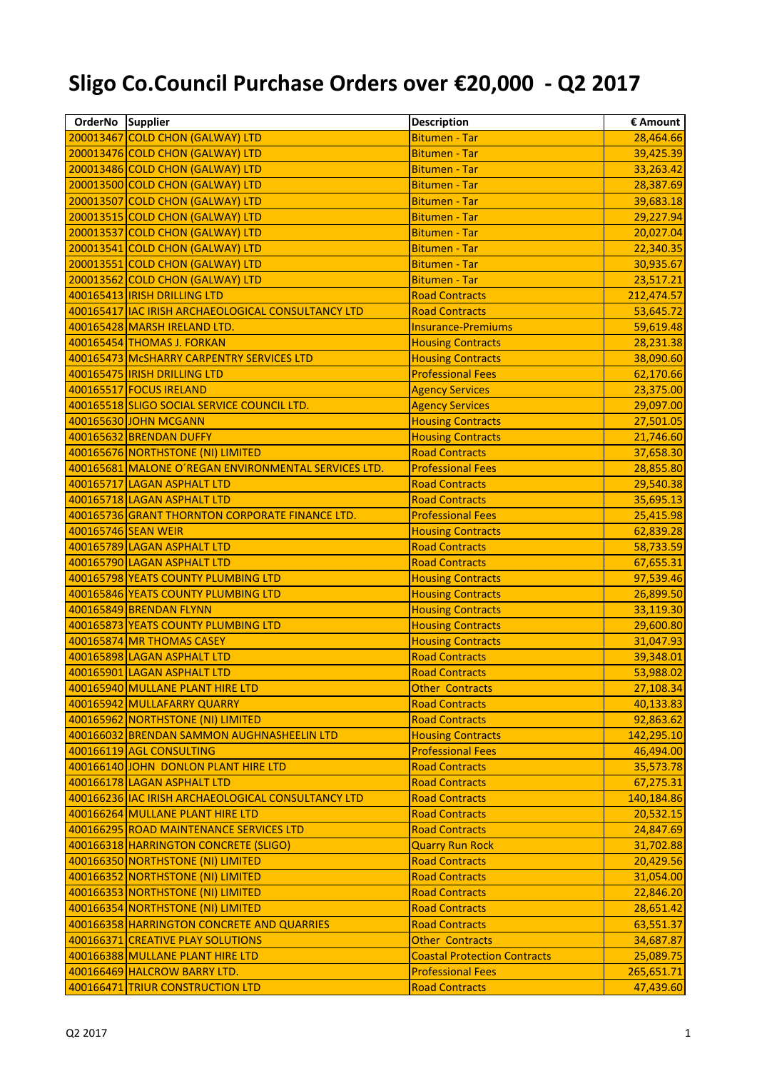## **Sligo Co.Council Purchase Orders over €20,000 - Q2 2017**

| OrderNo Supplier    |                                                      | <b>Description</b>                  | € Amount   |
|---------------------|------------------------------------------------------|-------------------------------------|------------|
|                     | 200013467 COLD CHON (GALWAY) LTD                     | <b>Bitumen - Tar</b>                | 28,464.66  |
|                     | 200013476 COLD CHON (GALWAY) LTD                     | <b>Bitumen - Tar</b>                | 39,425.39  |
|                     | 200013486 COLD CHON (GALWAY) LTD                     | <b>Bitumen - Tar</b>                | 33,263.42  |
|                     | 200013500 COLD CHON (GALWAY) LTD                     | <b>Bitumen - Tar</b>                | 28,387.69  |
|                     | 200013507 COLD CHON (GALWAY) LTD                     | <b>Bitumen - Tar</b>                | 39,683.18  |
|                     | 200013515 COLD CHON (GALWAY) LTD                     | <b>Bitumen - Tar</b>                | 29,227.94  |
|                     | 200013537 COLD CHON (GALWAY) LTD                     | <b>Bitumen - Tar</b>                | 20,027.04  |
|                     | 200013541 COLD CHON (GALWAY) LTD                     | <b>Bitumen - Tar</b>                | 22,340.35  |
|                     | 200013551 COLD CHON (GALWAY) LTD                     | <b>Bitumen - Tar</b>                | 30,935.67  |
|                     | 200013562 COLD CHON (GALWAY) LTD                     | <b>Bitumen - Tar</b>                | 23,517.21  |
|                     | 400165413 IRISH DRILLING LTD                         | <b>Road Contracts</b>               | 212,474.57 |
|                     | 400165417 IAC IRISH ARCHAEOLOGICAL CONSULTANCY LTD   | <b>Road Contracts</b>               | 53,645.72  |
|                     | 400165428 MARSH IRELAND LTD.                         | <b>Insurance-Premiums</b>           | 59,619.48  |
|                     | 400165454 THOMAS J. FORKAN                           | <b>Housing Contracts</b>            | 28,231.38  |
|                     | 400165473 McSHARRY CARPENTRY SERVICES LTD            | <b>Housing Contracts</b>            | 38,090.60  |
|                     | 400165475   IRISH DRILLING LTD                       | <b>Professional Fees</b>            | 62,170.66  |
|                     | 400165517 FOCUS IRELAND                              | <b>Agency Services</b>              | 23,375.00  |
|                     | 400165518 SLIGO SOCIAL SERVICE COUNCIL LTD.          | <b>Agency Services</b>              | 29,097.00  |
|                     | 400165630 JOHN MCGANN                                | <b>Housing Contracts</b>            | 27,501.05  |
|                     | 400165632 BRENDAN DUFFY                              | <b>Housing Contracts</b>            | 21,746.60  |
|                     | 400165676 NORTHSTONE (NI) LIMITED                    | <b>Road Contracts</b>               | 37,658.30  |
|                     | 400165681 MALONE O'REGAN ENVIRONMENTAL SERVICES LTD. | <b>Professional Fees</b>            | 28,855.80  |
|                     | 400165717 LAGAN ASPHALT LTD                          | <b>Road Contracts</b>               | 29,540.38  |
|                     | 400165718 LAGAN ASPHALT LTD                          | <b>Road Contracts</b>               | 35,695.13  |
|                     | 400165736 GRANT THORNTON CORPORATE FINANCE LTD.      | <b>Professional Fees</b>            | 25,415.98  |
| 400165746 SEAN WEIR |                                                      | <b>Housing Contracts</b>            | 62,839.28  |
|                     | 400165789 LAGAN ASPHALT LTD                          | <b>Road Contracts</b>               | 58,733.59  |
|                     | 400165790 LAGAN ASPHALT LTD                          | <b>Road Contracts</b>               | 67,655.31  |
|                     | 400165798 YEATS COUNTY PLUMBING LTD                  | <b>Housing Contracts</b>            | 97,539.46  |
|                     | 400165846 YEATS COUNTY PLUMBING LTD                  | <b>Housing Contracts</b>            | 26,899.50  |
|                     | 400165849 BRENDAN FLYNN                              | <b>Housing Contracts</b>            | 33,119.30  |
|                     | 400165873 YEATS COUNTY PLUMBING LTD                  | <b>Housing Contracts</b>            | 29,600.80  |
|                     | 400165874 MR THOMAS CASEY                            | <b>Housing Contracts</b>            | 31,047.93  |
|                     | 400165898 LAGAN ASPHALT LTD                          | <b>Road Contracts</b>               | 39,348.01  |
|                     | 400165901 LAGAN ASPHALT LTD                          | <b>Road Contracts</b>               | 53,988.02  |
|                     | 400165940 MULLANE PLANT HIRE LTD                     | <b>Other Contracts</b>              | 27,108.34  |
|                     | 400165942 MULLAFARRY QUARRY                          | <b>Road Contracts</b>               | 40,133.83  |
|                     | 400165962 NORTHSTONE (NI) LIMITED                    | <b>Road Contracts</b>               | 92,863.62  |
|                     | 400166032 BRENDAN SAMMON AUGHNASHEELIN LTD           | <b>Housing Contracts</b>            | 142,295.10 |
|                     | 400166119 AGL CONSULTING                             | <b>Professional Fees</b>            | 46,494.00  |
|                     | 400166140 JOHN DONLON PLANT HIRE LTD                 | <b>Road Contracts</b>               | 35,573.78  |
|                     | 400166178 LAGAN ASPHALT LTD                          | <b>Road Contracts</b>               | 67,275.31  |
|                     | 400166236 IAC IRISH ARCHAEOLOGICAL CONSULTANCY LTD   | <b>Road Contracts</b>               | 140,184.86 |
|                     | 400166264 MULLANE PLANT HIRE LTD                     | <b>Road Contracts</b>               | 20,532.15  |
|                     | 400166295 ROAD MAINTENANCE SERVICES LTD              | <b>Road Contracts</b>               | 24,847.69  |
|                     | 400166318 HARRINGTON CONCRETE (SLIGO)                | <b>Quarry Run Rock</b>              | 31,702.88  |
|                     | 400166350 NORTHSTONE (NI) LIMITED                    | <b>Road Contracts</b>               | 20,429.56  |
|                     | 400166352 NORTHSTONE (NI) LIMITED                    | <b>Road Contracts</b>               | 31,054.00  |
|                     | 400166353 NORTHSTONE (NI) LIMITED                    | <b>Road Contracts</b>               | 22,846.20  |
|                     | 400166354 NORTHSTONE (NI) LIMITED                    | <b>Road Contracts</b>               | 28,651.42  |
|                     | 400166358 HARRINGTON CONCRETE AND QUARRIES           | <b>Road Contracts</b>               | 63,551.37  |
|                     | 400166371 CREATIVE PLAY SOLUTIONS                    | <b>Other Contracts</b>              | 34,687.87  |
|                     | 400166388 MULLANE PLANT HIRE LTD                     | <b>Coastal Protection Contracts</b> | 25,089.75  |
|                     | 400166469 HALCROW BARRY LTD.                         | <b>Professional Fees</b>            | 265,651.71 |
|                     | 400166471 TRIUR CONSTRUCTION LTD                     | <b>Road Contracts</b>               | 47,439.60  |
|                     |                                                      |                                     |            |